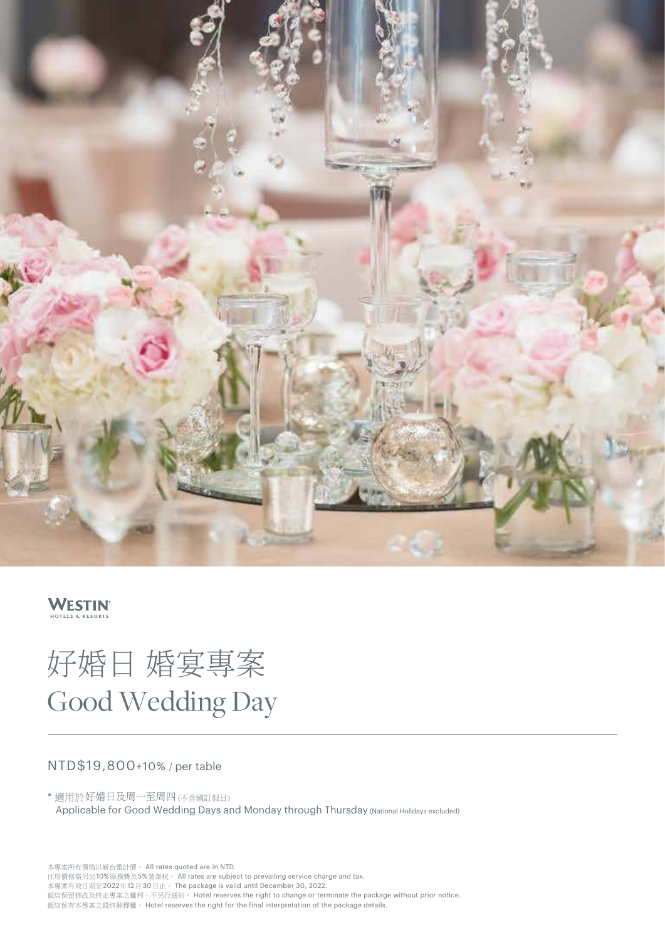

## **WESTIN**

# 好婚日 婚宴專案 Good Wedding Day

### NTD\$19,800+10% / per table

\* 適用於好婚日及周一至周四 (不含國訂假日) Applicable for Good Wedding Days and Monday through Thursday (National Holidays excluded)

本專案所有價格以新台幣計價。 All rates quoted are in NTD. 住房價格需另加10%服務費及5%營業稅。 All rates are subject to prevailing service charge and tax. 本專案有效日期至2022年12月30日止。 The package is valid until December 30, 2022. 飯店保留修改及終止專案之權利,不另行通知。 Hotel reserves the right to change or terminate the package without prior notice. 飯店保有本專案之最終解釋權。 Hotel reserves the right for the final interpretation of the package details.